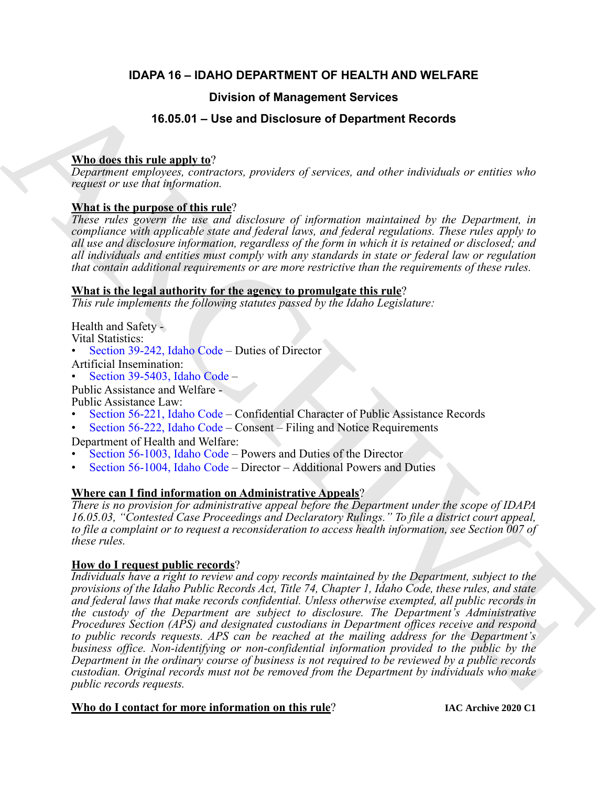# **IDAPA 16 – IDAHO DEPARTMENT OF HEALTH AND WELFARE**

# **Division of Management Services**

# **16.05.01 – Use and Disclosure of Department Records**

# **Who does this rule apply to**?

*Department employees, contractors, providers of services, and other individuals or entities who request or use that information.*

# **What is the purpose of this rule**?

*These rules govern the use and disclosure of information maintained by the Department, in compliance with applicable state and federal laws, and federal regulations. These rules apply to all use and disclosure information, regardless of the form in which it is retained or disclosed; and all individuals and entities must comply with any standards in state or federal law or regulation that contain additional requirements or are more restrictive than the requirements of these rules.*

# **What is the legal authority for the agency to promulgate this rule**?

*This rule implements the following statutes passed by the Idaho Legislature:*

Health and Safety - Vital Statistics:

• Section 39-242, Idaho Code – Duties of Director

Artificial Insemination:

• Section 39-5403, Idaho Code –

Public Assistance and Welfare -

Public Assistance Law:

- Section 56-221, Idaho Code Confidential Character of Public Assistance Records
- Section 56-222, Idaho Code Consent Filing and Notice Requirements

Department of Health and Welfare:

- Section 56-1003, Idaho Code Powers and Duties of the Director
- Section 56-1004, Idaho Code Director Additional Powers and Duties

# **Where can I find information on Administrative Appeals**?

*There is no provision for administrative appeal before the Department under the scope of IDAPA 16.05.03, "Contested Case Proceedings and Declaratory Rulings." To file a district court appeal, to file a complaint or to request a reconsideration to access health information, see Section 007 of these rules.*

# **How do I request public records**?

**Shows that the second between the correspondent in the correspondent in the properties of the second and the second and the correspondent in the correspondent in the correspondent in the correspondent in the corresponden** *Individuals have a right to review and copy records maintained by the Department, subject to the provisions of the Idaho Public Records Act, Title 74, Chapter 1, Idaho Code, these rules, and state and federal laws that make records confidential. Unless otherwise exempted, all public records in the custody of the Department are subject to disclosure. The Department's Administrative Procedures Section (APS) and designated custodians in Department offices receive and respond to public records requests. APS can be reached at the mailing address for the Department's business office. Non-identifying or non-confidential information provided to the public by the Department in the ordinary course of business is not required to be reviewed by a public records custodian. Original records must not be removed from the Department by individuals who make public records requests.*

# **Who do I contact for more information on this rule**?

**IAC Archive 2020 C1**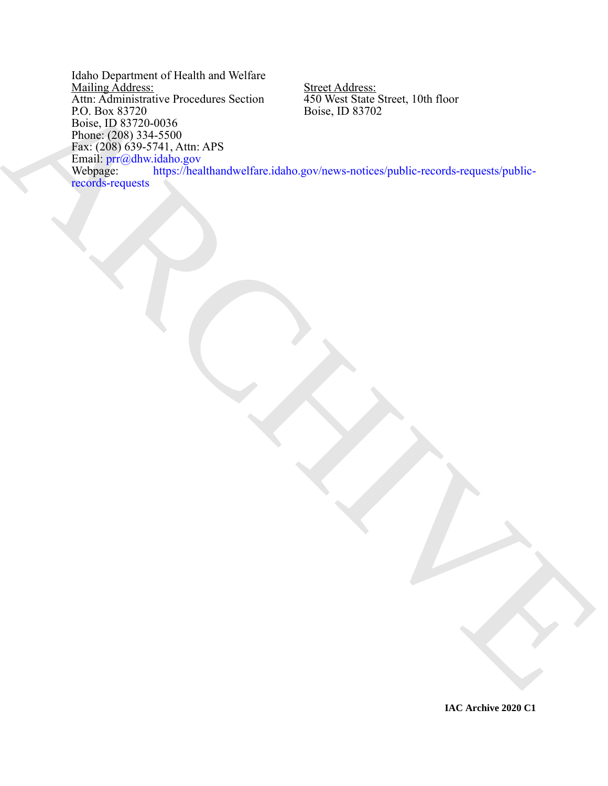[AR](https://healthandwelfare.idaho.gov/news-notices/public-records-requests/public-records-requests)CHIVESION Discrete Section<br>
Robert, Davis Strate<br>
Robert, Davis Strate<br>
Robert, Davis Strate<br>
Providence (2007)<br>
Providence Strate ARCHIVES (Providence Scriber, D. 83702<br>
Nedlights, Controlled and Strate Archivesis (Prov Idaho Department of Health and Welfare Mailing Address: Street Address: Attn: Administrative Procedures Section 450 West State Street, 10th floor Mailing Address:<br>
Attn: Administrative Procedures Section<br>
P.O. Box 83720<br>
Boise, ID 83702<br>
Boise, ID 83702 Boise, ID 83720-0036 Phone: (208) 334-5500 Fax: (208) 639-5741, Attn: APS Email: prr@dhw.idaho.gov Webpage: https://healthandwelfare.idaho.gov/news-notices/public-records-requests/publicrecords-requests

**IAC Archive 2020 C1**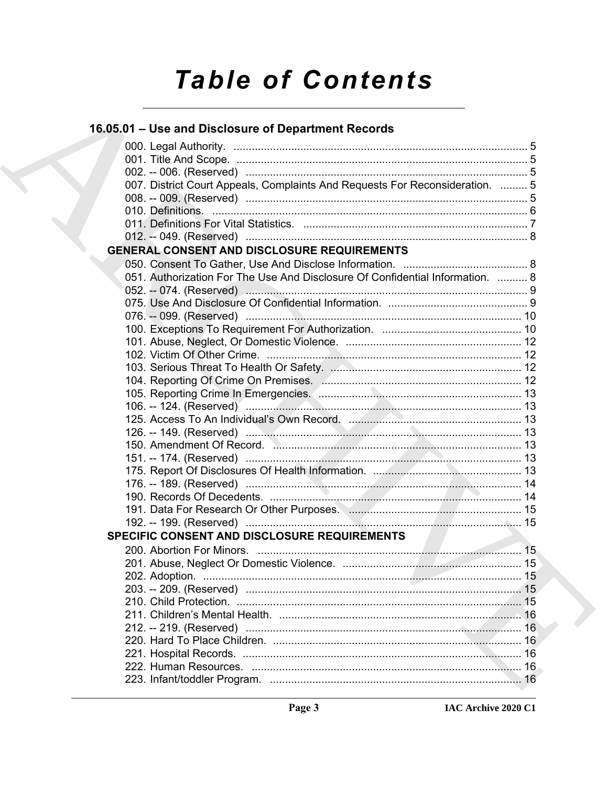# **Table of Contents**

# 16.05.01 - Use and Disclosure of Department Records

| 007. District Court Appeals, Complaints And Requests For Reconsideration.  5  |  |
|-------------------------------------------------------------------------------|--|
|                                                                               |  |
|                                                                               |  |
|                                                                               |  |
| <b>GENERAL CONSENT AND DISCLOSURE REQUIREMENTS</b>                            |  |
|                                                                               |  |
| 051. Authorization For The Use And Disclosure Of Confidential Information.  8 |  |
|                                                                               |  |
|                                                                               |  |
|                                                                               |  |
|                                                                               |  |
|                                                                               |  |
|                                                                               |  |
|                                                                               |  |
|                                                                               |  |
|                                                                               |  |
|                                                                               |  |
|                                                                               |  |
|                                                                               |  |
|                                                                               |  |
|                                                                               |  |
|                                                                               |  |
|                                                                               |  |
|                                                                               |  |
|                                                                               |  |
|                                                                               |  |
| SPECIFIC CONSENT AND DISCLOSURE REQUIREMENTS                                  |  |
|                                                                               |  |
|                                                                               |  |
|                                                                               |  |
|                                                                               |  |
|                                                                               |  |
|                                                                               |  |
|                                                                               |  |
|                                                                               |  |
|                                                                               |  |
|                                                                               |  |
|                                                                               |  |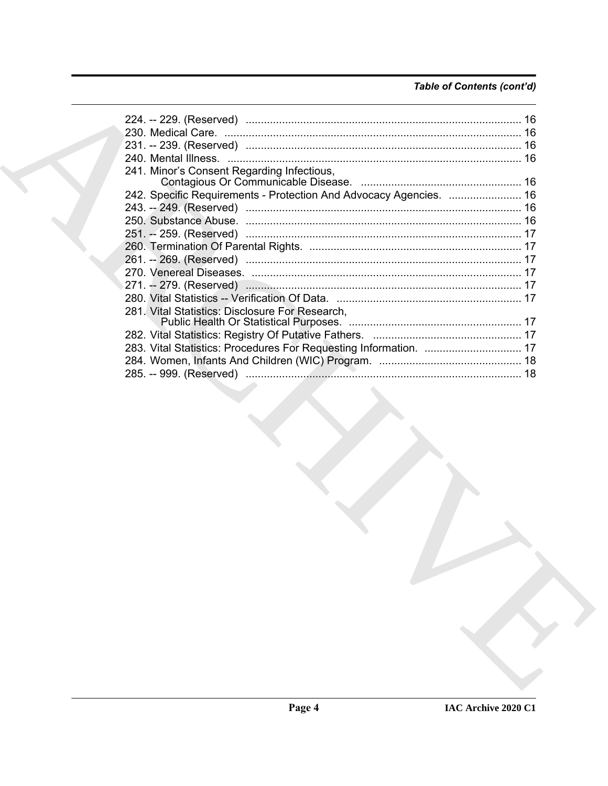# *Table of Contents (cont'd)*

| 241. Minor's Consent Regarding Infectious,                         |  |
|--------------------------------------------------------------------|--|
|                                                                    |  |
| 242. Specific Requirements - Protection And Advocacy Agencies.  16 |  |
|                                                                    |  |
|                                                                    |  |
|                                                                    |  |
|                                                                    |  |
|                                                                    |  |
|                                                                    |  |
|                                                                    |  |
|                                                                    |  |
| 281. Vital Statistics: Disclosure For Research,                    |  |
|                                                                    |  |
|                                                                    |  |
| 283. Vital Statistics: Procedures For Requesting Information.  17  |  |
|                                                                    |  |
|                                                                    |  |
|                                                                    |  |
|                                                                    |  |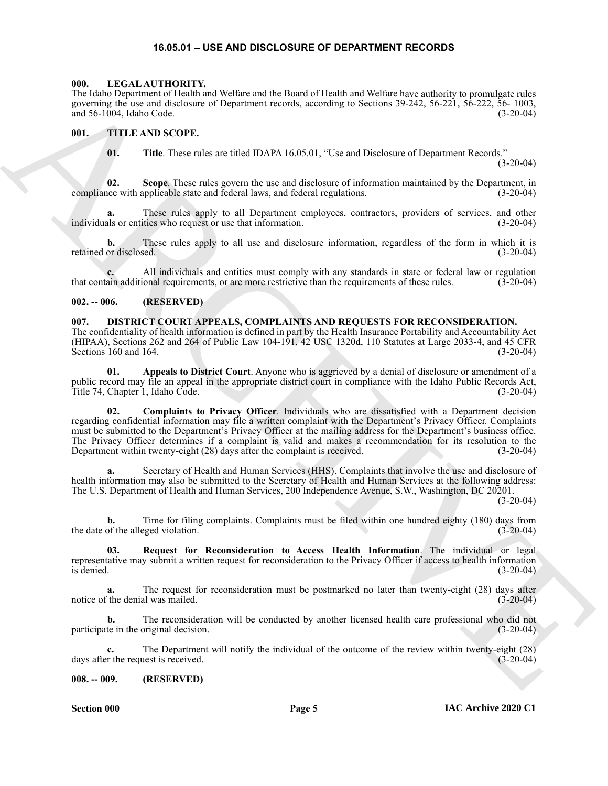#### **16.05.01 – USE AND DISCLOSURE OF DEPARTMENT RECORDS**

#### <span id="page-4-7"></span><span id="page-4-1"></span><span id="page-4-0"></span>**000. LEGAL AUTHORITY.**

The Idaho Department of Health and Welfare and the Board of Health and Welfare have authority to promulgate rules governing the use and disclosure of Department records, according to Sections 39-242, 56-221, 56-222, 56- 1003, and 56-1004, Idaho Code. (3-20-04) and  $56-1004$ , Idaho Code.

#### <span id="page-4-2"></span>**001. TITLE AND SCOPE.**

<span id="page-4-8"></span>**01. Title**. These rules are titled IDAPA 16.05.01, "Use and Disclosure of Department Records."

(3-20-04)

**02. Scope**. These rules govern the use and disclosure of information maintained by the Department, in compliance with applicable state and federal laws, and federal regulations. (3-20-04)

**a.** These rules apply to all Department employees, contractors, providers of services, and other individuals or entities who request or use that information. (3-20-04)

**b.** These rules apply to all use and disclosure information, regardless of the form in which it is retained or disclosed. (3-20-04)

**c.** All individuals and entities must comply with any standards in state or federal law or regulation that contain additional requirements, or are more restrictive than the requirements of these rules. (3-20-04)

#### <span id="page-4-3"></span>**002. -- 006. (RESERVED)**

<span id="page-4-6"></span><span id="page-4-4"></span>**007. DISTRICT COURT APPEALS, COMPLAINTS AND REQUESTS FOR RECONSIDERATION.** The confidentiality of health information is defined in part by the Health Insurance Portability and Accountability Act (HIPAA), Sections 262 and 264 of Public Law 104-191, 42 USC 1320d, 110 Statutes at Large 2033-4, and 45 CFR Sections 160 and 164. (3-20-04)

**01. Appeals to District Court**. Anyone who is aggrieved by a denial of disclosure or amendment of a public record may file an appeal in the appropriate district court in compliance with the Idaho Public Records Act, Title 74, Chapter 1, Idaho Code. (3-20-04)

The Moto Marchan of Historical interaction and the state of Historical interactions of the Moto Marchan of Historical interactions of the Moto Marchan of Historical interactions of the Moto Marchan of the Moto Marchan of **02. Complaints to Privacy Officer**. Individuals who are dissatisfied with a Department decision regarding confidential information may file a written complaint with the Department's Privacy Officer. Complaints must be submitted to the Department's Privacy Officer at the mailing address for the Department's business office. The Privacy Officer determines if a complaint is valid and makes a recommendation for its resolution to the Department within twenty-eight (28) days after the complaint is received. (3-20-04)

**a.** Secretary of Health and Human Services (HHS). Complaints that involve the use and disclosure of health information may also be submitted to the Secretary of Health and Human Services at the following address: The U.S. Department of Health and Human Services, 200 Independence Avenue, S.W., Washington, DC 20201.

(3-20-04)

**b.** Time for filing complaints. Complaints must be filed within one hundred eighty (180) days from the date of the alleged violation. (3-20-04)

**03. Request for Reconsideration to Access Health Information**. The individual or legal representative may submit a written request for reconsideration to the Privacy Officer if access to health information is denied. (3-20-04)  $\frac{1}{3}$  denied.  $\frac{3-20-04}{3}$ 

**a.** The request for reconsideration must be postmarked no later than twenty-eight (28) days after the denial was mailed. (3-20-04) notice of the denial was mailed.

**b.** The reconsideration will be conducted by another licensed health care professional who did not te in the original decision. (3-20-04) participate in the original decision.

**c.** The Department will notify the individual of the outcome of the review within twenty-eight (28) days after the request is received. (3-20-04)

#### <span id="page-4-5"></span>**008. -- 009. (RESERVED)**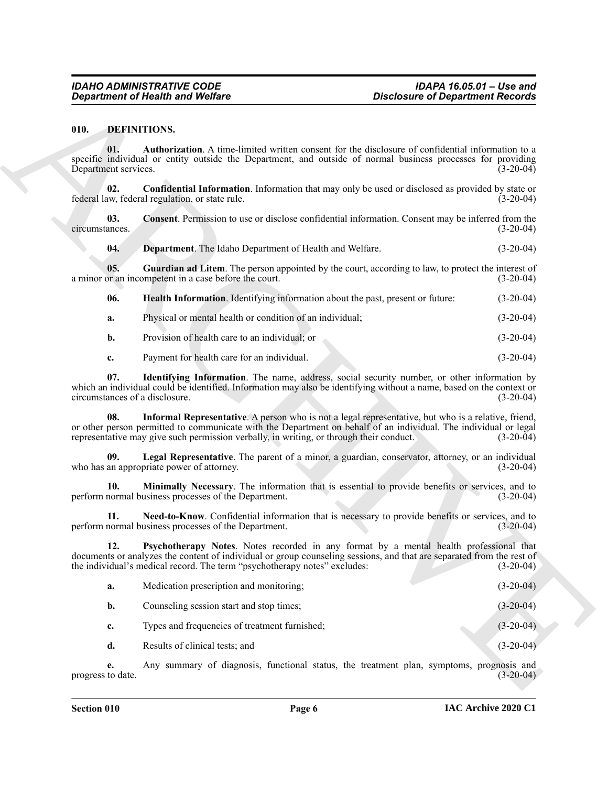#### <span id="page-5-13"></span><span id="page-5-12"></span><span id="page-5-11"></span><span id="page-5-10"></span><span id="page-5-9"></span><span id="page-5-8"></span><span id="page-5-7"></span><span id="page-5-6"></span><span id="page-5-5"></span><span id="page-5-4"></span><span id="page-5-3"></span><span id="page-5-2"></span><span id="page-5-1"></span><span id="page-5-0"></span>**010. DEFINITIONS.**

|                                       | <b>Department of Health and Welfare</b>                                                                                                                                                                                                                                                                            | <b>Disclosure of Department Records</b> |
|---------------------------------------|--------------------------------------------------------------------------------------------------------------------------------------------------------------------------------------------------------------------------------------------------------------------------------------------------------------------|-----------------------------------------|
| 010.                                  | <b>DEFINITIONS.</b>                                                                                                                                                                                                                                                                                                |                                         |
| 01.<br>Department services.           | Authorization. A time-limited written consent for the disclosure of confidential information to a<br>specific individual or entity outside the Department, and outside of normal business processes for providing                                                                                                  | $(3-20-04)$                             |
| 02.                                   | <b>Confidential Information</b> . Information that may only be used or disclosed as provided by state or<br>federal law, federal regulation, or state rule.                                                                                                                                                        | $(3-20-04)$                             |
| 03.<br>circumstances.                 | Consent. Permission to use or disclose confidential information. Consent may be inferred from the                                                                                                                                                                                                                  | $(3-20-04)$                             |
| 04.                                   | Department. The Idaho Department of Health and Welfare.                                                                                                                                                                                                                                                            | $(3-20-04)$                             |
| 05.                                   | Guardian ad Litem. The person appointed by the court, according to law, to protect the interest of<br>a minor or an incompetent in a case before the court.                                                                                                                                                        | $(3-20-04)$                             |
| 06.                                   | Health Information. Identifying information about the past, present or future:                                                                                                                                                                                                                                     | $(3-20-04)$                             |
| a.                                    | Physical or mental health or condition of an individual;                                                                                                                                                                                                                                                           | $(3-20-04)$                             |
| $\mathbf{b}$ .                        | Provision of health care to an individual; or                                                                                                                                                                                                                                                                      | $(3-20-04)$                             |
| c.                                    | Payment for health care for an individual.                                                                                                                                                                                                                                                                         | $(3-20-04)$                             |
| 07.<br>circumstances of a disclosure. | Identifying Information. The name, address, social security number, or other information by<br>which an individual could be identified. Information may also be identifying without a name, based on the context or                                                                                                | $(3-20-04)$                             |
| 08.                                   | Informal Representative. A person who is not a legal representative, but who is a relative, friend,<br>or other person permitted to communicate with the Department on behalf of an individual. The individual or legal<br>representative may give such permission verbally, in writing, or through their conduct. | $(3-20-04)$                             |
| 09.                                   | Legal Representative. The parent of a minor, a guardian, conservator, attorney, or an individual<br>who has an appropriate power of attorney.                                                                                                                                                                      | $(3-20-04)$                             |
| 10.                                   | Minimally Necessary. The information that is essential to provide benefits or services, and to<br>perform normal business processes of the Department.                                                                                                                                                             | $(3-20-04)$                             |
| 11.                                   | Need-to-Know. Confidential information that is necessary to provide benefits or services, and to<br>perform normal business processes of the Department.                                                                                                                                                           | $(3-20-04)$                             |
| 12.                                   | Psychotherapy Notes. Notes recorded in any format by a mental health professional that<br>documents or analyzes the content of individual or group counseling sessions, and that are separated from the rest of<br>the individual's medical record. The term "psychotherapy notes" excludes:                       | $(3-20-04)$                             |
| a.                                    | Medication prescription and monitoring;                                                                                                                                                                                                                                                                            | $(3-20-04)$                             |
| b.                                    | Counseling session start and stop times;                                                                                                                                                                                                                                                                           | $(3-20-04)$                             |
| c.                                    | Types and frequencies of treatment furnished;                                                                                                                                                                                                                                                                      | $(3-20-04)$                             |
| d.                                    | Results of clinical tests; and                                                                                                                                                                                                                                                                                     | $(3-20-04)$                             |
| e.                                    | Any summary of diagnosis, functional status, the treatment plan, symptoms, prognosis and<br>progress to date.                                                                                                                                                                                                      | $(3-20-04)$                             |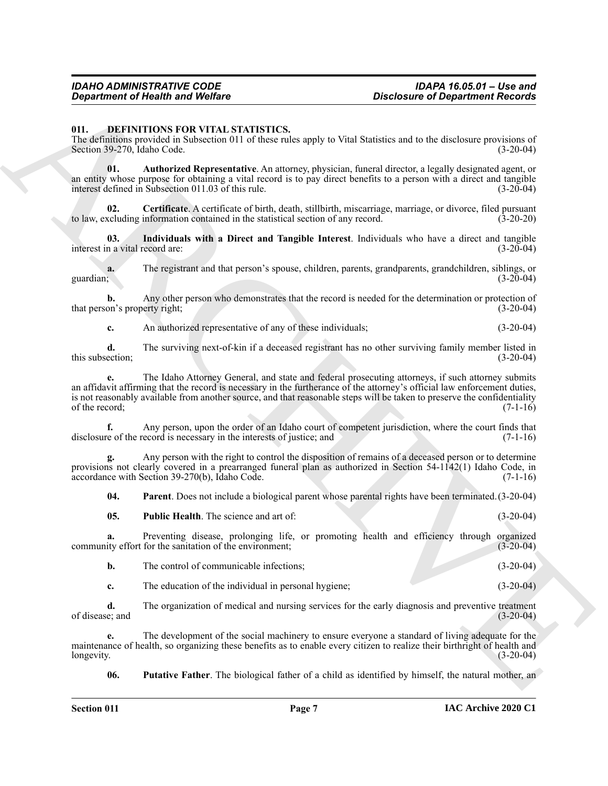#### <span id="page-6-1"></span><span id="page-6-0"></span>**011. DEFINITIONS FOR VITAL STATISTICS.**

The definitions provided in Subsection 011 of these rules apply to Vital Statistics and to the disclosure provisions of Section 39-270. Idaho Code. (3-20-04) Section 39-270, Idaho Code.

<span id="page-6-2"></span>**01. Authorized Representative**. An attorney, physician, funeral director, a legally designated agent, or an entity whose purpose for obtaining a vital record is to pay direct benefits to a person with a direct and tangible interest defined in Subsection 011.03 of this rule. (3-20-04)

<span id="page-6-3"></span>**Certificate**. A certificate of birth, death, stillbirth, miscarriage, marriage, or divorce, filed pursuant information contained in the statistical section of any record. (3-20-20) to law, excluding information contained in the statistical section of any record.

<span id="page-6-4"></span>**03. Individuals with a Direct and Tangible Interest**. Individuals who have a direct and tangible interest in a vital record are: (3-20-04)

**a.** The registrant and that person's spouse, children, parents, grandparents, grandchildren, siblings, or guardian; (3-20-04) guardian;  $(3-20-04)$ 

**b.** Any other person who demonstrates that the record is needed for the determination or protection of that person's property right; (3-20-04)

**c.** An authorized representative of any of these individuals; (3-20-04)

**d.** The surviving next-of-kin if a deceased registrant has no other surviving family member listed in this subsection; (3-20-04)

**Consideration of Newtown Workers**<br>
On the state of Newton Construction of Newton Construction of Newton Construction Construction of Newton Properties<br>
The density increases and the state of Newton Construction of the Se **e.** The Idaho Attorney General, and state and federal prosecuting attorneys, if such attorney submits an affidavit affirming that the record is necessary in the furtherance of the attorney's official law enforcement duties, is not reasonably available from another source, and that reasonable steps will be taken to preserve the confidentiality of the record;  $(7-1-16)$ 

**f.** Any person, upon the order of an Idaho court of competent jurisdiction, where the court finds that disclosure of the record is necessary in the interests of justice; and (7-1-16)

**g.** Any person with the right to control the disposition of remains of a deceased person or to determine provisions not clearly covered in a prearranged funeral plan as authorized in Section 54-1142(1) Idaho Code, in accordance with Section 39-270(b), Idaho Code. (7-1-16)

<span id="page-6-5"></span>**04. Parent**. Does not include a biological parent whose parental rights have been terminated.(3-20-04)

<span id="page-6-6"></span>

| 05.<br><b>Public Health.</b> The science and art of: |  | $(3-20-04)$ |
|------------------------------------------------------|--|-------------|
|------------------------------------------------------|--|-------------|

**a.** Preventing disease, prolonging life, or promoting health and efficiency through organized ity effort for the sanitation of the environment; (3-20-04) community effort for the sanitation of the environment;

|  | The control of communicable infections: |  |  |  |
|--|-----------------------------------------|--|--|--|
|--|-----------------------------------------|--|--|--|

**c.** The education of the individual in personal hygiene; (3-20-04)

**d.** The organization of medical and nursing services for the early diagnosis and preventive treatment of disease; and (3-20-04)

**e.** The development of the social machinery to ensure everyone a standard of living adequate for the maintenance of health, so organizing these benefits as to enable every citizen to realize their birthright of health and longevity. (3-20-04) longevity. (3-20-04)

<span id="page-6-7"></span>**06. Putative Father**. The biological father of a child as identified by himself, the natural mother, an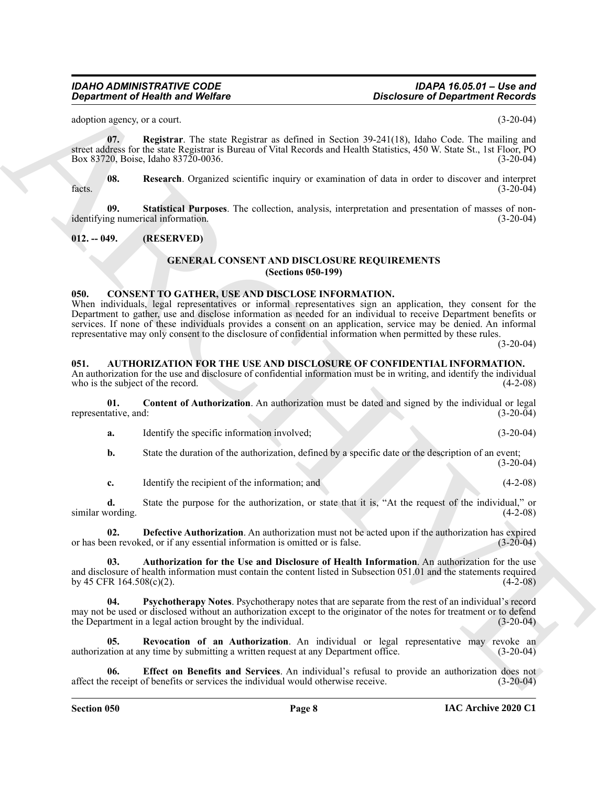<span id="page-7-12"></span>adoption agency, or a court.  $(3-20-04)$ 

**07. Registrar**. The state Registrar as defined in Section 39-241(18), Idaho Code. The mailing and street address for the state Registrar is Bureau of Vital Records and Health Statistics, 450 W. State St., 1st Floor, PO Box 83720, Boise, Idaho 83720-0036. (3-20-04)

<span id="page-7-13"></span>**08. Research**. Organized scientific inquiry or examination of data in order to discover and interpret facts.  $(3-20-04)$ 

**09. Statistical Purposes**. The collection, analysis, interpretation and presentation of masses of nonidentifying numerical information. (3-20-04)

#### <span id="page-7-1"></span><span id="page-7-0"></span>**012. -- 049. (RESERVED)**

#### <span id="page-7-15"></span><span id="page-7-14"></span>**GENERAL CONSENT AND DISCLOSURE REQUIREMENTS (Sections 050-199)**

#### <span id="page-7-11"></span><span id="page-7-2"></span>**050. CONSENT TO GATHER, USE AND DISCLOSE INFORMATION.**

*Considerable 16 Weight Theorem Scheme and Theorem Scheme Archives Considered Archives Considered Archives Considered Archives Considered Archives Considered Archives Considered Archives Considered Archives Considered Ar* When individuals, legal representatives or informal representatives sign an application, they consent for the Department to gather, use and disclose information as needed for an individual to receive Department benefits or services. If none of these individuals provides a consent on an application, service may be denied. An informal representative may only consent to the disclosure of confidential information when permitted by these rules.

(3-20-04)

#### <span id="page-7-4"></span><span id="page-7-3"></span>**051. AUTHORIZATION FOR THE USE AND DISCLOSURE OF CONFIDENTIAL INFORMATION.**

An authorization for the use and disclosure of confidential information must be in writing, and identify the individual who is the subject of the record. (4-2-08)

**01. Content of Authorization**. An authorization must be dated and signed by the individual or legal representative, and: (3-20-04)

<span id="page-7-6"></span>**a.** Identify the specific information involved; (3-20-04)

**b.** State the duration of the authorization, defined by a specific date or the description of an event;  $(3-20-04)$ 

<span id="page-7-7"></span>**c.** Identify the recipient of the information; and (4-2-08)

**d.** State the purpose for the authorization, or state that it is, "At the request of the individual," or vording. (4-2-08) similar wording.

**02. Defective Authorization**. An authorization must not be acted upon if the authorization has expired or has been revoked, or if any essential information is omitted or is false. (3-20-04)

<span id="page-7-5"></span>**03. Authorization for the Use and Disclosure of Health Information**. An authorization for the use and disclosure of health information must contain the content listed in Subsection 051.01 and the statements required by 45 CFR 164.508(c)(2).  $(4-2-08)$ 

<span id="page-7-9"></span>**04. Psychotherapy Notes**. Psychotherapy notes that are separate from the rest of an individual's record may not be used or disclosed without an authorization except to the originator of the notes for treatment or to defend<br>the Department in a legal action brought by the individual. (3-20-04) the Department in a legal action brought by the individual.

<span id="page-7-10"></span>**05. Revocation of an Authorization**. An individual or legal representative may revoke an authorization at any time by submitting a written request at any Department office. (3-20-04)

<span id="page-7-8"></span>**06. Effect on Benefits and Services**. An individual's refusal to provide an authorization does not affect the receipt of benefits or services the individual would otherwise receive. (3-20-04)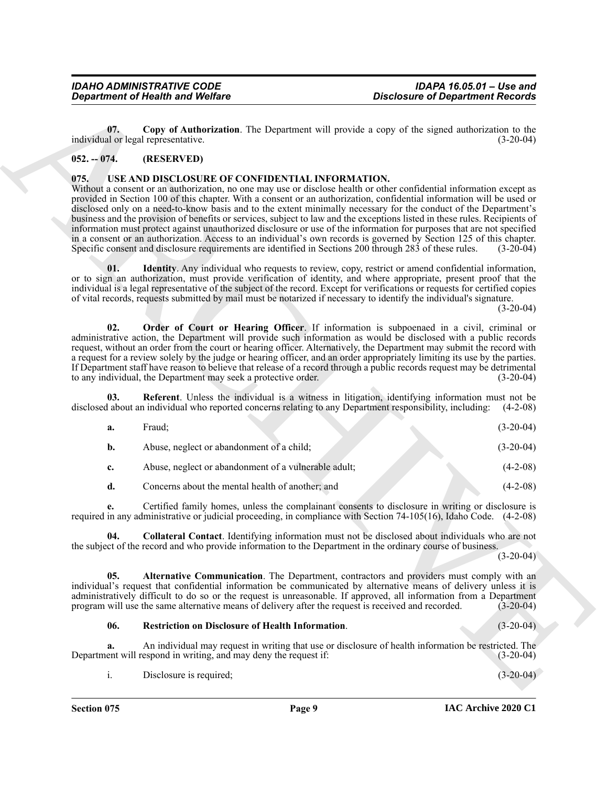#### <span id="page-8-2"></span><span id="page-8-0"></span>**052. -- 074. (RESERVED)**

#### <span id="page-8-8"></span><span id="page-8-7"></span><span id="page-8-6"></span><span id="page-8-3"></span><span id="page-8-1"></span>**075. USE AND DISCLOSURE OF CONFIDENTIAL INFORMATION.**

|               | <b>Department of Health and Welfare</b>                                                                                                                    | <b>Disclosure of Department Records</b>                                                                                                                                                                                                                                                                                                                                                                                                                                                                                                                                                                                                                                                                                                                         |
|---------------|------------------------------------------------------------------------------------------------------------------------------------------------------------|-----------------------------------------------------------------------------------------------------------------------------------------------------------------------------------------------------------------------------------------------------------------------------------------------------------------------------------------------------------------------------------------------------------------------------------------------------------------------------------------------------------------------------------------------------------------------------------------------------------------------------------------------------------------------------------------------------------------------------------------------------------------|
| 07.           | individual or legal representative.                                                                                                                        | Copy of Authorization. The Department will provide a copy of the signed authorization to the<br>$(3-20-04)$                                                                                                                                                                                                                                                                                                                                                                                                                                                                                                                                                                                                                                                     |
| $052. - 074.$ | (RESERVED)                                                                                                                                                 |                                                                                                                                                                                                                                                                                                                                                                                                                                                                                                                                                                                                                                                                                                                                                                 |
| 075.          | USE AND DISCLOSURE OF CONFIDENTIAL INFORMATION.<br>Specific consent and disclosure requirements are identified in Sections 200 through 283 of these rules. | Without a consent or an authorization, no one may use or disclose health or other confidential information except as<br>provided in Section 100 of this chapter. With a consent or an authorization, confidential information will be used or<br>disclosed only on a need-to-know basis and to the extent minimally necessary for the conduct of the Department's<br>business and the provision of benefits or services, subject to law and the exceptions listed in these rules. Recipients of<br>information must protect against unauthorized disclosure or use of the information for purposes that are not specified<br>in a consent or an authorization. Access to an individual's own records is governed by Section 125 of this chapter.<br>$(3-20-04)$ |
| 01.           |                                                                                                                                                            | <b>Identity</b> . Any individual who requests to review, copy, restrict or amend confidential information,<br>or to sign an authorization, must provide verification of identity, and where appropriate, present proof that the<br>individual is a legal representative of the subject of the record. Except for verifications or requests for certified copies<br>of vital records, requests submitted by mail must be notarized if necessary to identify the individual's signature.<br>$(3-20-04)$                                                                                                                                                                                                                                                           |
| 02.           | to any individual, the Department may seek a protective order.                                                                                             | Order of Court or Hearing Officer. If information is subpoenaed in a civil, criminal or<br>administrative action, the Department will provide such information as would be disclosed with a public records<br>request, without an order from the court or hearing officer. Alternatively, the Department may submit the record with<br>a request for a review solely by the judge or hearing officer, and an order appropriately limiting its use by the parties.<br>If Department staff have reason to believe that release of a record through a public records request may be detrimental<br>$(3-20-04)$                                                                                                                                                     |
| 03.           |                                                                                                                                                            | Referent. Unless the individual is a witness in litigation, identifying information must not be<br>disclosed about an individual who reported concerns relating to any Department responsibility, including:<br>$(4-2-08)$                                                                                                                                                                                                                                                                                                                                                                                                                                                                                                                                      |
| a.            | Fraud;                                                                                                                                                     | $(3-20-04)$                                                                                                                                                                                                                                                                                                                                                                                                                                                                                                                                                                                                                                                                                                                                                     |
| b.            | Abuse, neglect or abandonment of a child;                                                                                                                  | $(3-20-04)$                                                                                                                                                                                                                                                                                                                                                                                                                                                                                                                                                                                                                                                                                                                                                     |
| c.            | Abuse, neglect or abandonment of a vulnerable adult;                                                                                                       | $(4-2-08)$                                                                                                                                                                                                                                                                                                                                                                                                                                                                                                                                                                                                                                                                                                                                                      |
| d.            | Concerns about the mental health of another; and                                                                                                           | $(4-2-08)$                                                                                                                                                                                                                                                                                                                                                                                                                                                                                                                                                                                                                                                                                                                                                      |
| е.            |                                                                                                                                                            | Certified family homes, unless the complainant consents to disclosure in writing or disclosure is<br>required in any administrative or judicial proceeding, in compliance with Section 74-105(16), Idaho Code. (4-2-08)                                                                                                                                                                                                                                                                                                                                                                                                                                                                                                                                         |
|               |                                                                                                                                                            | Collateral Contact. Identifying information must not be disclosed about individuals who are not<br>the subject of the record and who provide information to the Department in the ordinary course of business.<br>$(3-20-04)$                                                                                                                                                                                                                                                                                                                                                                                                                                                                                                                                   |
| 05.           | program will use the same alternative means of delivery after the request is received and recorded.                                                        | Alternative Communication. The Department, contractors and providers must comply with an<br>individual's request that confidential information be communicated by alternative means of delivery unless it is<br>administratively difficult to do so or the request is unreasonable. If approved, all information from a Department<br>$(3-20-04)$                                                                                                                                                                                                                                                                                                                                                                                                               |
| 06.           | <b>Restriction on Disclosure of Health Information.</b>                                                                                                    | $(3-20-04)$                                                                                                                                                                                                                                                                                                                                                                                                                                                                                                                                                                                                                                                                                                                                                     |
| a.            | Department will respond in writing, and may deny the request if:                                                                                           | An individual may request in writing that use or disclosure of health information be restricted. The<br>$(3-20-04)$                                                                                                                                                                                                                                                                                                                                                                                                                                                                                                                                                                                                                                             |
|               |                                                                                                                                                            |                                                                                                                                                                                                                                                                                                                                                                                                                                                                                                                                                                                                                                                                                                                                                                 |

#### <span id="page-8-9"></span><span id="page-8-5"></span><span id="page-8-4"></span>**06. Restriction on Disclosure of Health Information**. (3-20-04)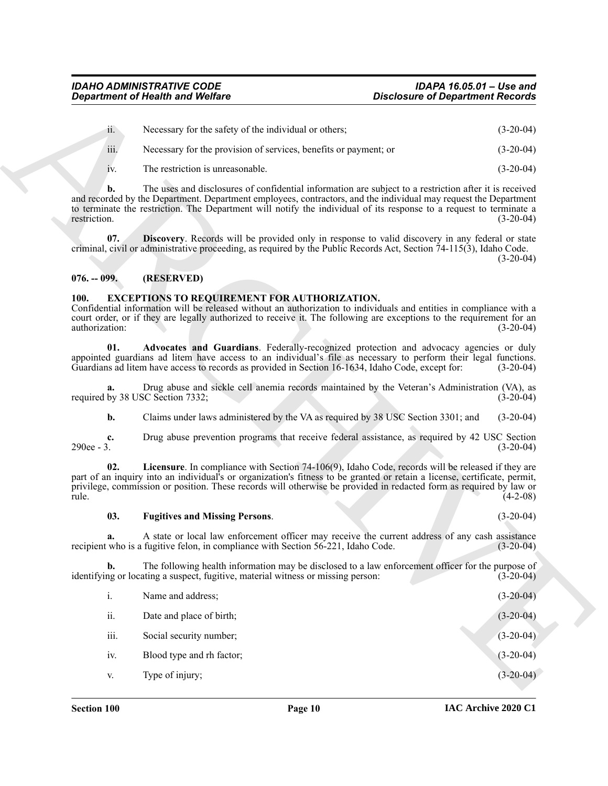| 11.  | Necessary for the safety of the individual or others;            | $(3-20-04)$ |
|------|------------------------------------------------------------------|-------------|
| iii. | Necessary for the provision of services, benefits or payment; or | $(3-20-04)$ |
|      |                                                                  | .           |

#### <span id="page-9-6"></span><span id="page-9-3"></span><span id="page-9-2"></span><span id="page-9-1"></span><span id="page-9-0"></span>**100. EXCEPTIONS TO REQUIREMENT FOR AUTHORIZATION.**

#### <span id="page-9-5"></span><span id="page-9-4"></span>**03. Fugitives and Missing Persons**. (3-20-04)

|                        | <b>Department of Health and Welfare</b>                                                                                                                                                                                                                                                                                                              | <b>Disclosure of Department Records</b> |             |
|------------------------|------------------------------------------------------------------------------------------------------------------------------------------------------------------------------------------------------------------------------------------------------------------------------------------------------------------------------------------------------|-----------------------------------------|-------------|
| ii.                    | Necessary for the safety of the individual or others;                                                                                                                                                                                                                                                                                                |                                         | $(3-20-04)$ |
| iii.                   | Necessary for the provision of services, benefits or payment; or                                                                                                                                                                                                                                                                                     |                                         | $(3-20-04)$ |
| 1V.                    | The restriction is unreasonable.                                                                                                                                                                                                                                                                                                                     |                                         | $(3-20-04)$ |
| b.<br>restriction.     | The uses and disclosures of confidential information are subject to a restriction after it is received<br>and recorded by the Department. Department employees, contractors, and the individual may request the Department<br>to terminate the restriction. The Department will notify the individual of its response to a request to terminate a    |                                         | $(3-20-04)$ |
| 07.                    | <b>Discovery.</b> Records will be provided only in response to valid discovery in any federal or state<br>criminal, civil or administrative proceeding, as required by the Public Records Act, Section 74-115(3), Idaho Code.                                                                                                                        |                                         | $(3-20-04)$ |
| $076. - 099.$          | (RESERVED)                                                                                                                                                                                                                                                                                                                                           |                                         |             |
| 100.<br>authorization: | <b>EXCEPTIONS TO REQUIREMENT FOR AUTHORIZATION.</b><br>Confidential information will be released without an authorization to individuals and entities in compliance with a<br>court order, or if they are legally authorized to receive it. The following are exceptions to the requirement for an                                                   |                                         | $(3-20-04)$ |
| 01.                    | Advocates and Guardians. Federally-recognized protection and advocacy agencies or duly<br>appointed guardians ad litem have access to an individual's file as necessary to perform their legal functions.<br>Guardians ad litem have access to records as provided in Section 16-1634, Idaho Code, except for:                                       |                                         | $(3-20-04)$ |
| а.                     | Drug abuse and sickle cell anemia records maintained by the Veteran's Administration (VA), as<br>required by 38 USC Section 7332;                                                                                                                                                                                                                    |                                         | $(3-20-04)$ |
| $\mathbf{b}$ .         | Claims under laws administered by the VA as required by 38 USC Section 3301; and                                                                                                                                                                                                                                                                     |                                         | $(3-20-04)$ |
| c.<br>290ee - 3.       | Drug abuse prevention programs that receive federal assistance, as required by 42 USC Section                                                                                                                                                                                                                                                        |                                         | $(3-20-04)$ |
| 02.<br>rule.           | Licensure. In compliance with Section 74-106(9), Idaho Code, records will be released if they are<br>part of an inquiry into an individual's or organization's fitness to be granted or retain a license, certificate, permit,<br>privilege, commission or position. These records will otherwise be provided in redacted form as required by law or |                                         | $(4-2-08)$  |
| 03.                    | <b>Fugitives and Missing Persons.</b>                                                                                                                                                                                                                                                                                                                |                                         | $(3-20-04)$ |
|                        | A state or local law enforcement officer may receive the current address of any cash assistance<br>recipient who is a fugitive felon, in compliance with Section 56-221, Idaho Code.                                                                                                                                                                 |                                         | $(3-20-04)$ |
| $\mathbf{b}$ .         | The following health information may be disclosed to a law enforcement officer for the purpose of<br>identifying or locating a suspect, fugitive, material witness or missing person:                                                                                                                                                                |                                         | $(3-20-04)$ |
| i.                     | Name and address;                                                                                                                                                                                                                                                                                                                                    |                                         | $(3-20-04)$ |
| ii.                    | Date and place of birth;                                                                                                                                                                                                                                                                                                                             |                                         | $(3-20-04)$ |
| iii.                   | Social security number;                                                                                                                                                                                                                                                                                                                              |                                         | $(3-20-04)$ |
|                        | Blood type and rh factor;                                                                                                                                                                                                                                                                                                                            |                                         | $(3-20-04)$ |
| iv.                    |                                                                                                                                                                                                                                                                                                                                                      |                                         |             |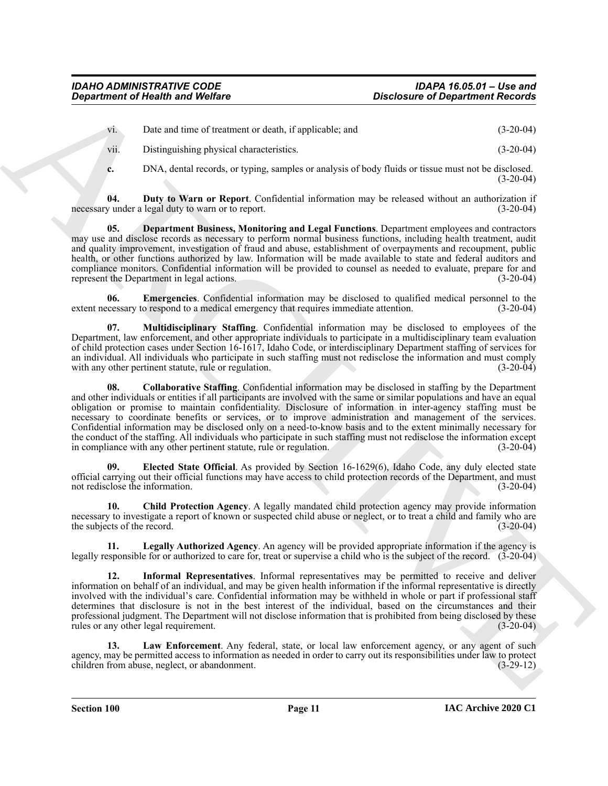| V1.  | Date and time of treatment or death, if applicable; and | $(3-20-04)$ |
|------|---------------------------------------------------------|-------------|
| V11. | Distinguishing physical characteristics.                | $(3-20-04)$ |

<span id="page-10-3"></span><span id="page-10-2"></span>**c.** DNA, dental records, or typing, samples or analysis of body fluids or tissue must not be disclosed. (3-20-04)

**04. Duty to Warn or Report**. Confidential information may be released without an authorization if necessary under a legal duty to warn or to report. (3-20-04)

**05. Department Business, Monitoring and Legal Functions**. Department employees and contractors may use and disclose records as necessary to perform normal business functions, including health treatment, audit and quality improvement, investigation of fraud and abuse, establishment of overpayments and recoupment, public health, or other functions authorized by law. Information will be made available to state and federal auditors and compliance monitors. Confidential information will be provided to counsel as needed to evaluate, prepare for and represent the Department in legal actions. (3-20-04) represent the Department in legal actions.

<span id="page-10-5"></span>**06. Emergencies**. Confidential information may be disclosed to qualified medical personnel to the extent necessary to respond to a medical emergency that requires immediate attention. (3-20-04)

<span id="page-10-9"></span><span id="page-10-1"></span>**07. Multidisciplinary Staffing**. Confidential information may be disclosed to employees of the Department, law enforcement, and other appropriate individuals to participate in a multidisciplinary team evaluation of child protection cases under Section 16-1617, Idaho Code, or interdisciplinary Department staffing of services for an individual. All individuals who participate in such staffing must not redisclose the information and must comply<br>with any other pertinent statute, rule or regulation. (3-20-04) with any other pertinent statute, rule or regulation.

**Constrained of Newthern Society and WebEar<br>
2018 Christian Constrained WebEar<br>
30. Christian Constrained WebEar<br>
30. Christian Constrained WebEar<br>
30. Christian Constrained WebEar<br>
4. Disk, densis resulted WebEarle Socie 08. Collaborative Staffing**. Confidential information may be disclosed in staffing by the Department and other individuals or entities if all participants are involved with the same or similar populations and have an equal obligation or promise to maintain confidentiality. Disclosure of information in inter-agency staffing must be necessary to coordinate benefits or services, or to improve administration and management of the services. Confidential information may be disclosed only on a need-to-know basis and to the extent minimally necessary for the conduct of the staffing. All individuals who participate in such staffing must not redisclose the information except in compliance with any other pertinent statute, rule or regulation. (3-20-04)

<span id="page-10-4"></span>**09. Elected State Official**. As provided by Section 16-1629(6), Idaho Code, any duly elected state official carrying out their official functions may have access to child protection records of the Department, and must not redisclose the information. (3-20-04)

<span id="page-10-0"></span>**10. Child Protection Agency**. A legally mandated child protection agency may provide information necessary to investigate a report of known or suspected child abuse or neglect, or to treat a child and family who are the subjects of the record. (3-20-04)

<span id="page-10-8"></span>**11. Legally Authorized Agency**. An agency will be provided appropriate information if the agency is legally responsible for or authorized to care for, treat or supervise a child who is the subject of the record. (3-20-04)

<span id="page-10-6"></span>**12. Informal Representatives**. Informal representatives may be permitted to receive and deliver information on behalf of an individual, and may be given health information if the informal representative is directly involved with the individual's care. Confidential information may be withheld in whole or part if professional staff determines that disclosure is not in the best interest of the individual, based on the circumstances and their professional judgment. The Department will not disclose information that is prohibited from being disclosed by these rules or any other legal requirement. (3-20-04)

<span id="page-10-7"></span>**13. Law Enforcement**. Any federal, state, or local law enforcement agency, or any agent of such agency, may be permitted access to information as needed in order to carry out its responsibilities under law to protect children from abuse, neglect, or abandonment. (3-29-12) children from abuse, neglect, or abandonment.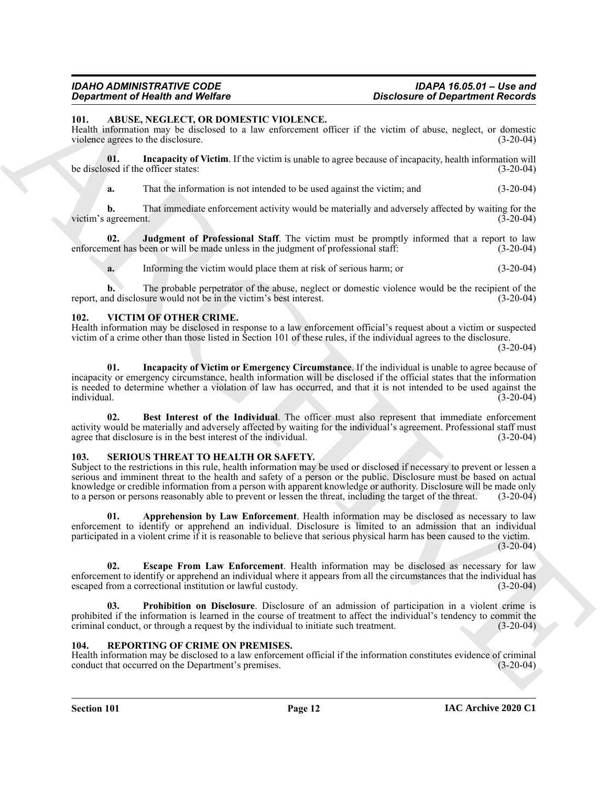#### *IDAHO ADMINISTRATIVE CODE IDAPA 16.05.01 – Use and Disclosure of Department Records*

#### <span id="page-11-4"></span><span id="page-11-0"></span>**101. ABUSE, NEGLECT, OR DOMESTIC VIOLENCE.**

Health information may be disclosed to a law enforcement officer if the victim of abuse, neglect, or domestic violence agrees to the disclosure. (3-20-04)

**01. Incapacity of Victim**. If the victim is unable to agree because of incapacity, health information will be disclosed if the officer states: (3-20-04)

<span id="page-11-5"></span>**a.** That the information is not intended to be used against the victim; and  $(3-20-04)$ 

**b.** That immediate enforcement activity would be materially and adversely affected by waiting for the agreement. (3-20-04) victim's agreement.

**02. Judgment of Professional Staff**. The victim must be promptly informed that a report to law enforcement has been or will be made unless in the judgment of professional staff: (3-20-04)

<span id="page-11-6"></span>**a.** Informing the victim would place them at risk of serious harm; or (3-20-04)

**b.** The probable perpetrator of the abuse, neglect or domestic violence would be the recipient of the report, and disclosure would not be in the victim's best interest. (3-20-04)

#### <span id="page-11-12"></span><span id="page-11-1"></span>**102. VICTIM OF OTHER CRIME.**

<span id="page-11-14"></span>Health information may be disclosed in response to a law enforcement official's request about a victim or suspected victim of a crime other than those listed in Section 101 of these rules, if the individual agrees to the disclosure.

(3-20-04)

**Constraint of New York Constraint (Victor)**<br>
ARCHIVET ON **EXPLANTIC VIOLENCE.**<br>
10. ARCHIVET ON **EXPLANTIC VIOLENCE.**<br>
10. ARCHIVET ON **EXPLANTIC VIOLENCE.**<br>
10. ARCHIVET ON **ON PROPERTIENT CONSTRANTIENT (VICE SCIENCE CO 01. Incapacity of Victim or Emergency Circumstance**. If the individual is unable to agree because of incapacity or emergency circumstance, health information will be disclosed if the official states that the information is needed to determine whether a violation of law has occurred, and that it is not intended to be used against the individual. (3-20-04) individual. (3-20-04)

<span id="page-11-13"></span>**02. Best Interest of the Individual**. The officer must also represent that immediate enforcement activity would be materially and adversely affected by waiting for the individual's agreement. Professional staff must agree that disclosure is in the best interest of the individual. (3-20-04)

#### <span id="page-11-8"></span><span id="page-11-2"></span>**103. SERIOUS THREAT TO HEALTH OR SAFETY.**

Subject to the restrictions in this rule, health information may be used or disclosed if necessary to prevent or lessen a serious and imminent threat to the health and safety of a person or the public. Disclosure must be based on actual knowledge or credible information from a person with apparent knowledge or authority. Disclosure will be made only to a person or persons reasonably able to prevent or lessen the threat, including the target of the threat. (3-20-04)

<span id="page-11-9"></span>**01. Apprehension by Law Enforcement**. Health information may be disclosed as necessary to law enforcement to identify or apprehend an individual. Disclosure is limited to an admission that an individual participated in a violent crime if it is reasonable to believe that serious physical harm has been caused to the victim.

 $(3-20-04)$ 

<span id="page-11-10"></span>**02. Escape From Law Enforcement**. Health information may be disclosed as necessary for law enforcement to identify or apprehend an individual where it appears from all the circumstances that the individual has escaped from a correctional institution or lawful custody. (3-20-04)

<span id="page-11-11"></span>**03. Prohibition on Disclosure**. Disclosure of an admission of participation in a violent crime is prohibited if the information is learned in the course of treatment to affect the individual's tendency to commit the criminal conduct, or through a request by the individual to initiate such treatment. (3-20-04)

#### <span id="page-11-7"></span><span id="page-11-3"></span>**104. REPORTING OF CRIME ON PREMISES.**

Health information may be disclosed to a law enforcement official if the information constitutes evidence of criminal conduct that occurred on the Department's premises. (3-20-04) conduct that occurred on the Department's premises.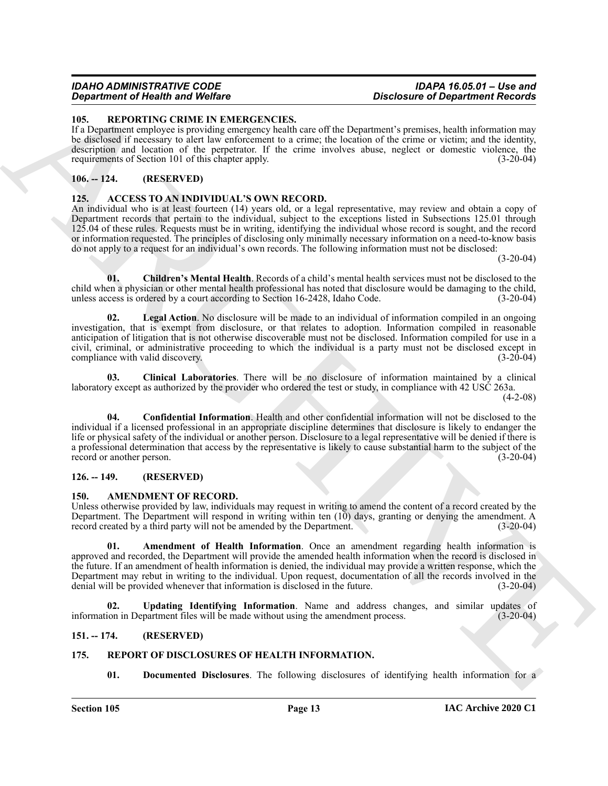#### *IDAHO ADMINISTRATIVE CODE IDAPA 16.05.01 – Use and Disclosure of Department Records*

#### <span id="page-12-17"></span><span id="page-12-0"></span>**105. REPORTING CRIME IN EMERGENCIES.**

If a Department employee is providing emergency health care off the Department's premises, health information may be disclosed if necessary to alert law enforcement to a crime; the location of the crime or victim; and the identity, description and location of the perpetrator. If the crime involves abuse, neglect or domestic violence, the requirements of Section 101 of this chapter apply. (3-20-04)

#### <span id="page-12-1"></span>**106. -- 124. (RESERVED)**

#### <span id="page-12-7"></span><span id="page-12-2"></span>**125. ACCESS TO AN INDIVIDUAL'S OWN RECORD.**

An individual who is at least fourteen (14) years old, or a legal representative, may review and obtain a copy of Department records that pertain to the individual, subject to the exceptions listed in Subsections 125.01 through 125.04 of these rules. Requests must be in writing, identifying the individual whose record is sought, and the record or information requested. The principles of disclosing only minimally necessary information on a need-to-know basis do not apply to a request for an individual's own records. The following information must not be disclosed:

 $(3-20-04)$ 

<span id="page-12-8"></span>**01. Children's Mental Health**. Records of a child's mental health services must not be disclosed to the child when a physician or other mental health professional has noted that disclosure would be damaging to the child, unless access is ordered by a court according to Section 16-2428, Idaho Code. (3-20-04)

<span id="page-12-11"></span>**02. Legal Action**. No disclosure will be made to an individual of information compiled in an ongoing investigation, that is exempt from disclosure, or that relates to adoption. Information compiled in reasonable anticipation of litigation that is not otherwise discoverable must not be disclosed. Information compiled for use in a civil, criminal, or administrative proceeding to which the individual is a party must not be disclosed except in compliance with valid discovery. (3-20-04) (3-20-04)

<span id="page-12-10"></span><span id="page-12-9"></span>**03. Clinical Laboratories**. There will be no disclosure of information maintained by a clinical laboratory except as authorized by the provider who ordered the test or study, in compliance with 42 USC 263a.

(4-2-08)

**Constraint of Neuron Constraints Constraint School Constraint Constraint Constraint Constraint Constraint Constraint Constraint Constraint Constraint Constraint Constraint Constraint Constraint Constraint Constraint Cons 04. Confidential Information**. Health and other confidential information will not be disclosed to the individual if a licensed professional in an appropriate discipline determines that disclosure is likely to endanger the life or physical safety of the individual or another person. Disclosure to a legal representative will be denied if there is a professional determination that access by the representative is likely to cause substantial harm to the subject of the record or another person. (3-20-04) record or another person.

#### <span id="page-12-3"></span>**126. -- 149. (RESERVED)**

#### <span id="page-12-12"></span><span id="page-12-4"></span>**150. AMENDMENT OF RECORD.**

Unless otherwise provided by law, individuals may request in writing to amend the content of a record created by the Department. The Department will respond in writing within ten (10) days, granting or denying the amendment. A record created by a third party will not be amended by the Department. (3-20-04)

<span id="page-12-13"></span>**01. Amendment of Health Information**. Once an amendment regarding health information is approved and recorded, the Department will provide the amended health information when the record is disclosed in the future. If an amendment of health information is denied, the individual may provide a written response, which the Department may rebut in writing to the individual. Upon request, documentation of all the records involved in the denial will be provided whenever that information is disclosed in the future. (3-20-04)

<span id="page-12-14"></span>**02. Updating Identifying Information**. Name and address changes, and similar updates of information in Department files will be made without using the amendment process. (3-20-04)

#### <span id="page-12-5"></span>**151. -- 174. (RESERVED)**

### <span id="page-12-6"></span>**175. REPORT OF DISCLOSURES OF HEALTH INFORMATION.**

<span id="page-12-16"></span><span id="page-12-15"></span>**01. Documented Disclosures**. The following disclosures of identifying health information for a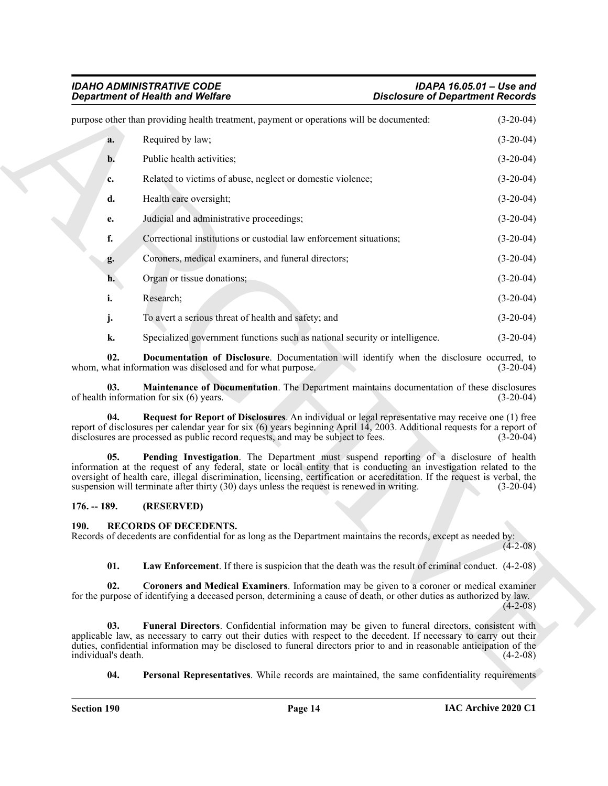# *IDAHO ADMINISTRATIVE CODE IDAPA 16.05.01 – Use and Department of Health and Welfare Disclosure of Department Records*

|                            | <b>Department of Health and Welfare</b>                                                                                                                                                                                                                                                                                                                                                                                                   | <b>Disclosure of Department Records</b> |             |
|----------------------------|-------------------------------------------------------------------------------------------------------------------------------------------------------------------------------------------------------------------------------------------------------------------------------------------------------------------------------------------------------------------------------------------------------------------------------------------|-----------------------------------------|-------------|
|                            | purpose other than providing health treatment, payment or operations will be documented:                                                                                                                                                                                                                                                                                                                                                  |                                         | $(3-20-04)$ |
| a.                         | Required by law;                                                                                                                                                                                                                                                                                                                                                                                                                          |                                         | $(3-20-04)$ |
| b.                         | Public health activities;                                                                                                                                                                                                                                                                                                                                                                                                                 |                                         | $(3-20-04)$ |
| c.                         | Related to victims of abuse, neglect or domestic violence;                                                                                                                                                                                                                                                                                                                                                                                |                                         | $(3-20-04)$ |
| d.                         | Health care oversight;                                                                                                                                                                                                                                                                                                                                                                                                                    |                                         | $(3-20-04)$ |
| e.                         | Judicial and administrative proceedings;                                                                                                                                                                                                                                                                                                                                                                                                  |                                         | $(3-20-04)$ |
| f.                         | Correctional institutions or custodial law enforcement situations;                                                                                                                                                                                                                                                                                                                                                                        |                                         | $(3-20-04)$ |
| g.                         | Coroners, medical examiners, and funeral directors;                                                                                                                                                                                                                                                                                                                                                                                       |                                         | $(3-20-04)$ |
| h.                         | Organ or tissue donations;                                                                                                                                                                                                                                                                                                                                                                                                                |                                         | $(3-20-04)$ |
| i.                         | Research;                                                                                                                                                                                                                                                                                                                                                                                                                                 |                                         | $(3-20-04)$ |
| j.                         | To avert a serious threat of health and safety; and                                                                                                                                                                                                                                                                                                                                                                                       |                                         | $(3-20-04)$ |
| k.                         | Specialized government functions such as national security or intelligence.                                                                                                                                                                                                                                                                                                                                                               |                                         | $(3-20-04)$ |
| 02.                        | Documentation of Disclosure. Documentation will identify when the disclosure occurred, to<br>whom, what information was disclosed and for what purpose.                                                                                                                                                                                                                                                                                   |                                         | $(3-20-04)$ |
| 03.                        | Maintenance of Documentation. The Department maintains documentation of these disclosures<br>of health information for $six(6)$ years.                                                                                                                                                                                                                                                                                                    |                                         | $(3-20-04)$ |
| 04.                        | Request for Report of Disclosures. An individual or legal representative may receive one (1) free<br>report of disclosures per calendar year for six $(6)$ years beginning April 14, 2003. Additional requests for a report of<br>disclosures are processed as public record requests, and may be subject to fees.                                                                                                                        |                                         | $(3-20-04)$ |
| 05.                        | Pending Investigation. The Department must suspend reporting of a disclosure of health<br>information at the request of any federal, state or local entity that is conducting an investigation related to the<br>oversight of health care, illegal discrimination, licensing, certification or accreditation. If the request is verbal, the<br>suspension will terminate after thirty (30) days unless the request is renewed in writing. |                                         | $(3-20-04)$ |
| $176. - 189.$              | (RESERVED)                                                                                                                                                                                                                                                                                                                                                                                                                                |                                         |             |
| <b>190.</b>                | <b>RECORDS OF DECEDENTS.</b><br>Records of decedents are confidential for as long as the Department maintains the records, except as needed by:                                                                                                                                                                                                                                                                                           |                                         | $(4-2-08)$  |
| 01.                        | <b>Law Enforcement.</b> If there is suspicion that the death was the result of criminal conduct. (4-2-08)                                                                                                                                                                                                                                                                                                                                 |                                         |             |
| 02.                        | Coroners and Medical Examiners. Information may be given to a coroner or medical examiner<br>for the purpose of identifying a deceased person, determining a cause of death, or other duties as authorized by law.                                                                                                                                                                                                                        |                                         | $(4-2-08)$  |
| 03.<br>individual's death. | Funeral Directors. Confidential information may be given to funeral directors, consistent with<br>applicable law, as necessary to carry out their duties with respect to the decedent. If necessary to carry out their<br>duties, confidential information may be disclosed to funeral directors prior to and in reasonable anticipation of the                                                                                           |                                         | $(4-2-08)$  |
| 04.                        | <b>Personal Representatives.</b> While records are maintained, the same confidentiality requirements                                                                                                                                                                                                                                                                                                                                      |                                         |             |

#### <span id="page-13-10"></span><span id="page-13-9"></span><span id="page-13-8"></span><span id="page-13-7"></span><span id="page-13-0"></span>**176. -- 189. (RESERVED)**

#### <span id="page-13-6"></span><span id="page-13-5"></span><span id="page-13-4"></span><span id="page-13-3"></span><span id="page-13-2"></span><span id="page-13-1"></span>**190. RECORDS OF DECEDENTS.**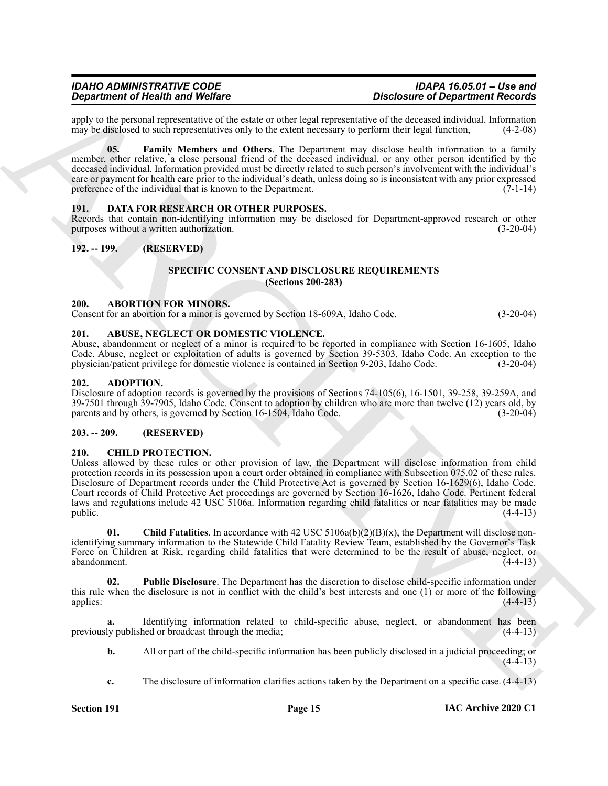apply to the personal representative of the estate or other legal representative of the deceased individual. Information may be disclosed to such representatives only to the extent necessary to perform their legal function may be disclosed to such representatives only to the extent necessary to perform their legal function,

<span id="page-14-15"></span>**05. Family Members and Others**. The Department may disclose health information to a family member, other relative, a close personal friend of the deceased individual, or any other person identified by the deceased individual. Information provided must be directly related to such person's involvement with the individual's care or payment for health care prior to the individual's death, unless doing so is inconsistent with any prior expressed preference of the individual that is known to the Department.  $(7-1-14)$ 

#### <span id="page-14-14"></span><span id="page-14-0"></span>**191. DATA FOR RESEARCH OR OTHER PURPOSES.**

Records that contain non-identifying information may be disclosed for Department-approved research or other purposes without a written authorization. (3-20-04)

#### <span id="page-14-2"></span><span id="page-14-1"></span>**192. -- 199. (RESERVED)**

#### <span id="page-14-16"></span>**SPECIFIC CONSENT AND DISCLOSURE REQUIREMENTS (Sections 200-283)**

#### <span id="page-14-8"></span><span id="page-14-3"></span>**200. ABORTION FOR MINORS.**

Consent for an abortion for a minor is governed by Section 18-609A, Idaho Code. (3-20-04)

#### <span id="page-14-9"></span><span id="page-14-4"></span>**201. ABUSE, NEGLECT OR DOMESTIC VIOLENCE.**

Abuse, abandonment or neglect of a minor is required to be reported in compliance with Section 16-1605, Idaho Code. Abuse, neglect or exploitation of adults is governed by Section 39-5303, Idaho Code. An exception to the physician/patient privilege for domestic violence is contained in Section 9-203, Idaho Code. (3-20-04)

#### <span id="page-14-10"></span><span id="page-14-5"></span>**202. ADOPTION.**

Disclosure of adoption records is governed by the provisions of Sections 74-105(6), 16-1501, 39-258, 39-259A, and 39-7501 through 39-7905, Idaho Code. Consent to adoption by children who are more than twelve (12) years old, by parents and by others, is governed by Section 16-1504, Idaho Code. (3-20-04)

#### <span id="page-14-6"></span>**203. -- 209. (RESERVED)**

#### <span id="page-14-11"></span><span id="page-14-7"></span>**210. CHILD PROTECTION.**

**Experiment of New York Water**<br>
any both is a Weilar Water Chinese this transformation of the stress of the stress of the stress of the forest<br>
any both stress of the stress of the stress of the stress of the stress of t Unless allowed by these rules or other provision of law, the Department will disclose information from child protection records in its possession upon a court order obtained in compliance with Subsection 075.02 of these rules. Disclosure of Department records under the Child Protective Act is governed by Section 16-1629(6), Idaho Code. Court records of Child Protective Act proceedings are governed by Section 16-1626, Idaho Code. Pertinent federal laws and regulations include 42 USC 5106a. Information regarding child fatalities or near fatalities may be made public.  $(4-4-13)$ 

<span id="page-14-12"></span>**01. Child Fatalities**. In accordance with 42 USC 5106a(b)(2)(B)(x), the Department will disclose nonidentifying summary information to the Statewide Child Fatality Review Team, established by the Governor's Task Force on Children at Risk, regarding child fatalities that were determined to be the result of abuse, neglect, or abandonment. (4-4-13)

<span id="page-14-13"></span>**02. Public Disclosure**. The Department has the discretion to disclose child-specific information under this rule when the disclosure is not in conflict with the child's best interests and one (1) or more of the following applies:  $(4-4-13)$ 

Identifying information related to child-specific abuse, neglect, or abandonment has been<br>hed or broadcast through the media; (4-4-13) previously published or broadcast through the media;

- **b.** All or part of the child-specific information has been publicly disclosed in a judicial proceeding; or  $(4-4-13)$
- **c.** The disclosure of information clarifies actions taken by the Department on a specific case. (4-4-13)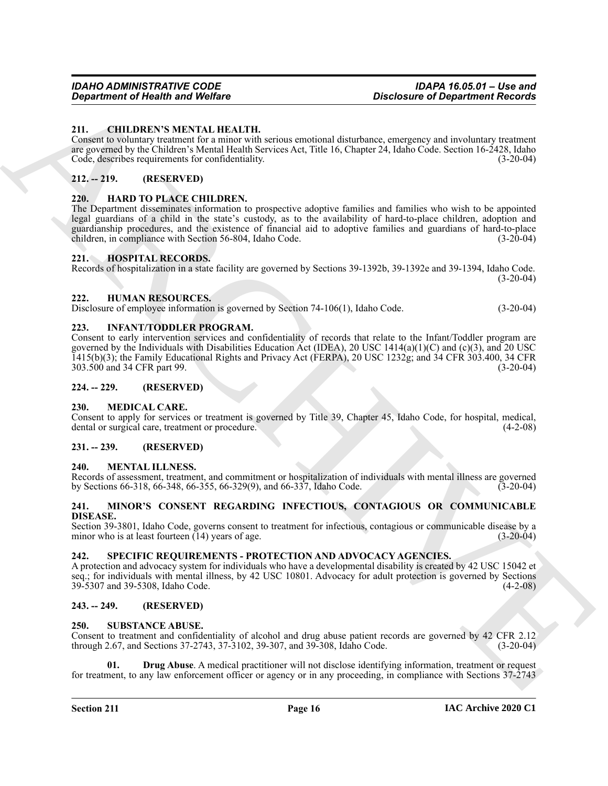#### <span id="page-15-14"></span><span id="page-15-0"></span>**211. CHILDREN'S MENTAL HEALTH.**

Consent to voluntary treatment for a minor with serious emotional disturbance, emergency and involuntary treatment are governed by the Children's Mental Health Services Act, Title 16, Chapter 24, Idaho Code. Section 16-2428, Idaho Code, describes requirements for confidentiality. (3-20-04)

#### <span id="page-15-1"></span>**212. -- 219. (RESERVED)**

#### <span id="page-15-15"></span><span id="page-15-2"></span>**220. HARD TO PLACE CHILDREN.**

The Department disseminates information to prospective adoptive families and families who wish to be appointed legal guardians of a child in the state's custody, as to the availability of hard-to-place children, adoption and guardianship procedures, and the existence of financial aid to adoptive families and guardians of hard-to-place children, in compliance with Section 56-804, Idaho Code.

#### <span id="page-15-16"></span><span id="page-15-3"></span>**221. HOSPITAL RECORDS.**

Records of hospitalization in a state facility are governed by Sections 39-1392b, 39-1392e and 39-1394, Idaho Code.  $(3-20-04)$ 

#### <span id="page-15-17"></span><span id="page-15-4"></span>**222. HUMAN RESOURCES.**

Disclosure of employee information is governed by Section 74-106(1), Idaho Code. (3-20-04)

#### <span id="page-15-18"></span><span id="page-15-5"></span>**223. INFANT/TODDLER PROGRAM.**

**Expansion of Health was Welfare**<br>
211. CHELDRIKENT MEATHAIR COMPANY IN EVALUATION CONTINUES IN the continued interest of the state of the state of the state of the state of the state of the state of the state of the stat Consent to early intervention services and confidentiality of records that relate to the Infant/Toddler program are governed by the Individuals with Disabilities Education Act (IDEA), 20 USC 1414(a)(1)(C) and (c)(3), and 20 USC 1415(b)(3); the Family Educational Rights and Privacy Act (FERPA), 20 USC 1232g; and 34 CFR 303.400, 34 CFR 303.500 and 34 CFR part 99. (3-20-04)

#### <span id="page-15-6"></span>**224. -- 229. (RESERVED)**

#### <span id="page-15-19"></span><span id="page-15-7"></span>**230. MEDICAL CARE.**

Consent to apply for services or treatment is governed by Title 39, Chapter 45, Idaho Code, for hospital, medical, dental or surgical care, treatment or procedure. (4-2-08)

### <span id="page-15-8"></span>**231. -- 239. (RESERVED)**

#### <span id="page-15-20"></span><span id="page-15-9"></span>**240. MENTAL ILLNESS.**

Records of assessment, treatment, and commitment or hospitalization of individuals with mental illness are governed<br>by Sections 66-318, 66-348, 66-355, 66-329(9), and 66-337, Idaho Code. by Sections 66-318, 66-348, 66-355, 66-329(9), and 66-337, Idaho Code.

#### <span id="page-15-21"></span><span id="page-15-10"></span>**241. MINOR'S CONSENT REGARDING INFECTIOUS, CONTAGIOUS OR COMMUNICABLE DISEASE.**

Section 39-3801, Idaho Code, governs consent to treatment for infectious, contagious or communicable disease by a minor who is at least fourteen (14) years of age. (3-20-04)

# <span id="page-15-22"></span><span id="page-15-11"></span>**242. SPECIFIC REQUIREMENTS - PROTECTION AND ADVOCACY AGENCIES.**

A protection and advocacy system for individuals who have a developmental disability is created by 42 USC 15042 et seq.; for individuals with mental illness, by 42 USC 10801. Advocacy for adult protection is governed by Sections 39-5307 and 39-5308, Idaho Code. (4-2-08)

#### <span id="page-15-12"></span>**243. -- 249. (RESERVED)**

#### <span id="page-15-23"></span><span id="page-15-13"></span>**250. SUBSTANCE ABUSE.**

Consent to treatment and confidentiality of alcohol and drug abuse patient records are governed by 42 CFR 2.12 through 2.67, and Sections 37-2743, 37-3102, 39-307, and 39-308, Idaho Code. (3-20-04)

<span id="page-15-24"></span>**Drug Abuse**. A medical practitioner will not disclose identifying information, treatment or request for treatment, to any law enforcement officer or agency or in any proceeding, in compliance with Sections 37-2743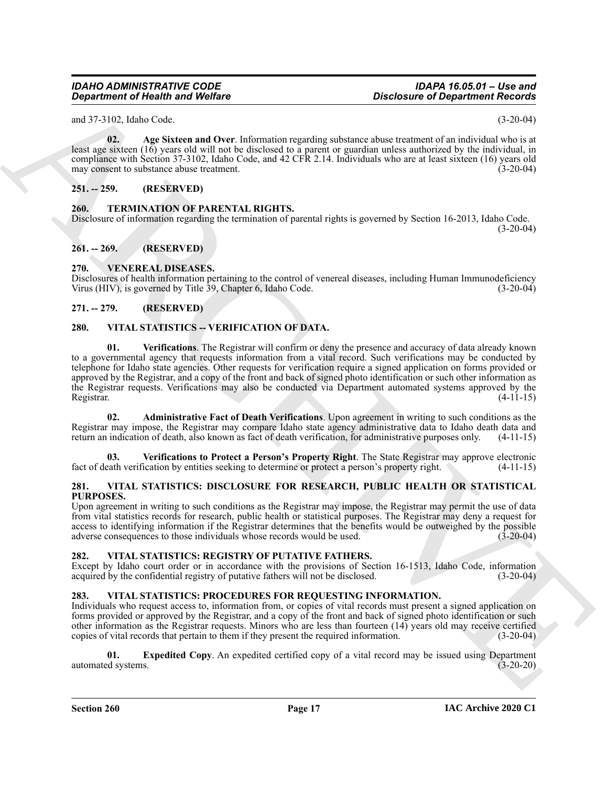and 37-3102, Idaho Code. (3-20-04)

<span id="page-16-9"></span>**02. Age Sixteen and Over**. Information regarding substance abuse treatment of an individual who is at least age sixteen (16) years old will not be disclosed to a parent or guardian unless authorized by the individual, in compliance with Section 37-3102, Idaho Code, and 42 CFR 2.14. Individuals who are at least sixteen (16) years old may consent to substance abuse treatment. (3-20-04)

### <span id="page-16-0"></span>**251. -- 259. (RESERVED)**

<span id="page-16-10"></span><span id="page-16-1"></span>**260. TERMINATION OF PARENTAL RIGHTS.**

Disclosure of information regarding the termination of parental rights is governed by Section 16-2013, Idaho Code.  $(3-20-04)$ 

### <span id="page-16-2"></span>**261. -- 269. (RESERVED)**

### <span id="page-16-11"></span><span id="page-16-3"></span>**270. VENEREAL DISEASES.**

Disclosures of health information pertaining to the control of venereal diseases, including Human Immunodeficiency Virus (HIV), is governed by Title 39, Chapter 6, Idaho Code. (3-20-04)

### <span id="page-16-4"></span>**271. -- 279. (RESERVED)**

### <span id="page-16-18"></span><span id="page-16-16"></span><span id="page-16-5"></span>**280. VITAL STATISTICS -- VERIFICATION OF DATA.**

*Great from the GAUSE Continent in the Continent Continent Continent Continent Continent Continent Continent Continent Continent Continent Continent Continent Continent Continent Continent Continent Continent Continent C* **01. Verifications**. The Registrar will confirm or deny the presence and accuracy of data already known to a governmental agency that requests information from a vital record. Such verifications may be conducted by telephone for Idaho state agencies. Other requests for verification require a signed application on forms provided or approved by the Registrar, and a copy of the front and back of signed photo identification or such other information as the Registrar requests. Verifications may also be conducted via Department automated systems approved by the Registrar. (4-11-15) Registrar. (4-11-15)

<span id="page-16-17"></span>**02. Administrative Fact of Death Verifications**. Upon agreement in writing to such conditions as the Registrar may impose, the Registrar may compare Idaho state agency administrative data to Idaho death data and return an indication of death, also known as fact of death verification, for administrative purposes only. (4-11-15)

<span id="page-16-19"></span>**03. Verifications to Protect a Person's Property Right**. The State Registrar may approve electronic fact of death verification by entities seeking to determine or protect a person's property right. (4-11-15)

#### <span id="page-16-12"></span><span id="page-16-6"></span>**281. VITAL STATISTICS: DISCLOSURE FOR RESEARCH, PUBLIC HEALTH OR STATISTICAL PURPOSES.**

Upon agreement in writing to such conditions as the Registrar may impose, the Registrar may permit the use of data from vital statistics records for research, public health or statistical purposes. The Registrar may deny a request for access to identifying information if the Registrar determines that the benefits would be outweighed by the possible adverse consequences to those individuals whose records would be used. (3-20-04)

#### <span id="page-16-15"></span><span id="page-16-7"></span>**282. VITAL STATISTICS: REGISTRY OF PUTATIVE FATHERS.**

Except by Idaho court order or in accordance with the provisions of Section 16-1513, Idaho Code, information acquired by the confidential registry of putative fathers will not be disclosed. (3-20-04)

#### <span id="page-16-13"></span><span id="page-16-8"></span>**283. VITAL STATISTICS: PROCEDURES FOR REQUESTING INFORMATION.**

Individuals who request access to, information from, or copies of vital records must present a signed application on forms provided or approved by the Registrar, and a copy of the front and back of signed photo identification or such other information as the Registrar requests. Minors who are less than fourteen (14) years old may receive certified copies of vital records that pertain to them if they present the required information. (3-20-04)

<span id="page-16-14"></span>**01. Expedited Copy**. An expedited certified copy of a vital record may be issued using Department (d systems. (3-20-20) automated systems.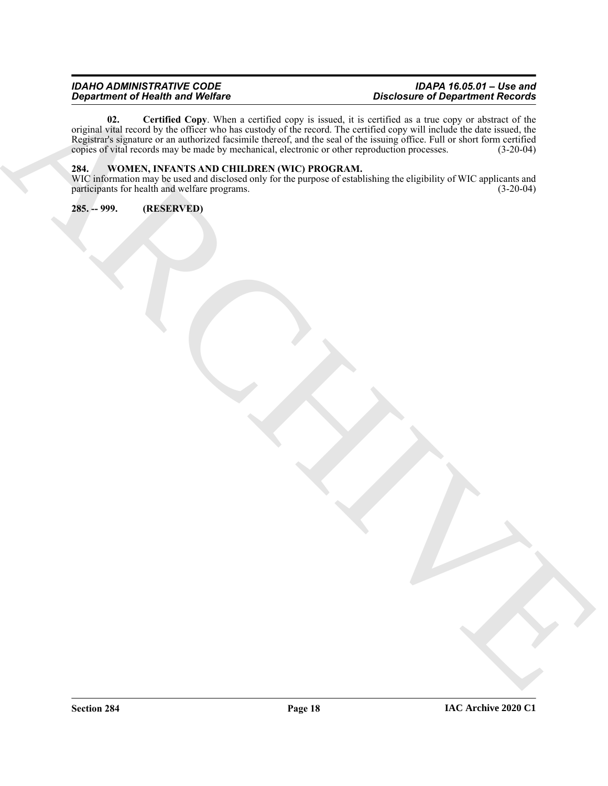#### <span id="page-17-2"></span>*IDAHO ADMINISTRATIVE CODE IDAPA 16.05.01 – Use and Department of Health and Welfare Disclosure of Department Records*

ARCHIVE **02. Certified Copy**. When a certified copy is issued, it is certified as a true copy or abstract of the original vital record by the officer who has custody of the record. The certified copy will include the date issued, the Registrar's signature or an authorized facsimile thereof, and the seal of the issuing office. Full or short form certified copies of vital records may be made by mechanical, electronic or other reproduction processes. (3-2 copies of vital records may be made by mechanical, electronic or other reproduction processes.

#### <span id="page-17-3"></span><span id="page-17-0"></span>**284. WOMEN, INFANTS AND CHILDREN (WIC) PROGRAM.**

WIC information may be used and disclosed only for the purpose of establishing the eligibility of WIC applicants and participants for health and welfare programs. participants for health and welfare programs.

<span id="page-17-1"></span>**285. -- 999. (RESERVED)**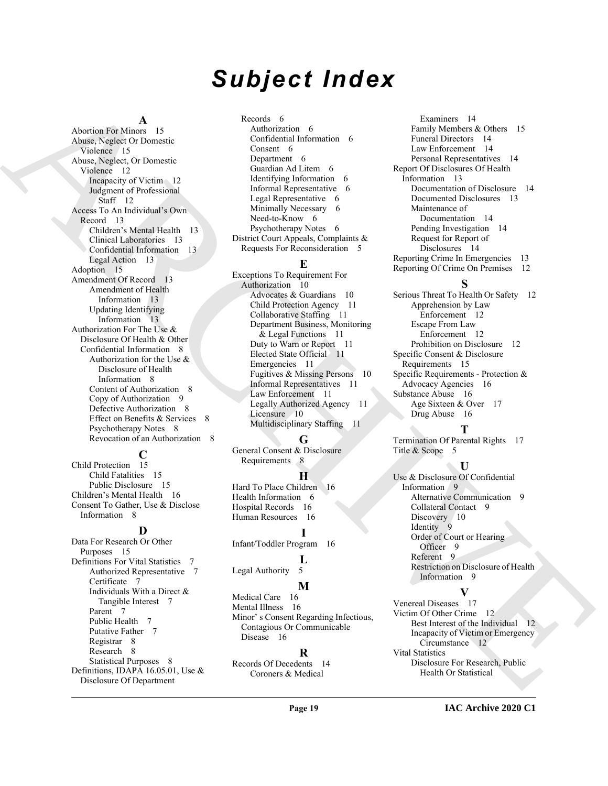# *Subject Index*

#### **A**

[A](#page-14-9)rchives and 1.5 (and a control of the second of the second of the second of the second of the second of the second of the second of the second of the second of the second of the second of the second of the second of the Abortion For Minors 15 Abuse, Neglect Or Domestic Violence 15 Abuse, Neglect, Or Domestic Violence 12 Incapacity of Victim 12 Judgment of Professional Staff 12 Access To An Individual's Own Record 13 Children's Mental Health 13 Clinical Laboratories 13 Confidential Information 13 Legal Action 13 Adoption 15 Amendment Of Record 13 Amendment of Health Information 13 Updating Identifying Information 13 Authorization For The Use & Disclosure Of Health & Other Confidential Information 8 Authorization for the Use & Disclosure of Health Information 8 Content of Authorization 8 Copy of Authorization 9 Defective Authorization 8 Effect on Benefits & Services 8 Psychotherapy Notes 8 Revocation of an Authorization 8

# **C**

Child Protection 15 Child Fatalities 15 Public Disclosure 15 Children's Mental Health 16 Consent To Gather, Use & Disclose Information 8

#### **D**

Data For Research Or Other Purposes 15 Definitions For Vital Statistics 7 Authorized Representative 7 Certificate 7 Individuals With a Direct & Tangible Interest 7 Parent<sup>7</sup> Public Health 7 Putative Father 7 Registrar 8 Research 8 Statistical Purposes 8 Definitions, IDAPA 16.05.01, Use & Disclosure Of Department

Records 6 Authorization 6 Confidential Information 6 Consent 6 Department 6 Guardian Ad Litem 6 Identifying Information 6 Informal Representative 6 Legal Representative 6 Minimally Necessary 6 Need-to-Know 6 Psychotherapy Notes 6 District Court Appeals, Complaints & Requests For Reconsideration 5

#### **E**

Exceptions To Requirement For Authorization 10 Advocates & Guardians 10 Child Protection Agency 11 Collaborative Staffing 11 Department Business, Monitoring & Legal Functions 11 Duty to Warn or Report 11 Elected State Official 11 Emergencies 11 Fugitives & Missing Persons 10 Informal Representatives 11 Law Enforcement 11 Legally Authorized Agency 11 Licensure 10 Multidisciplinary Staffing 11

#### **G**

General Consent & Disclosure Requirements 8

### **H**

Hard To Place Children 16 Health Information 6 Hospital Records 16 Human Resources 16

**I** Infant/Toddler Program 16

# **L**

Legal Authority 5

# **M**

Medical Care 16 Mental Illness 16 Minor' s Consent Regarding Infectious, Contagious Or Communicable Disease 16

#### **R**

Records Of Decedents 14 Coroners & Medical

Examiners 14 Family Members & Others 15 Funeral Directors 14 Law Enforcement 14 Personal Representatives 14 Report Of Disclosures Of Health Information 13 Documentation of Disclosure 14 Documented Disclosures 13 Maintenance of Documentation 14 Pending Investigation 14 Request for Report of Disclosures 14 Reporting Crime In Emergencies 13 Reporting Of Crime On Premises 12

#### **S**

Serious Threat To Health Or Safety 12 Apprehension by Law Enforcement 12 Escape From Law Enforcement 12 Prohibition on Disclosure 12 Specific Consent & Disclosure Requirements 15 Specific Requirements - Protection & Advocacy Agencies 16 Substance Abuse 16 Age Sixteen & Over 17 Drug Abuse 16

# **T**

Termination Of Parental Rights 17 Title & Scope 5

#### **U**

Use & Disclosure Of Confidential Information 9 Alternative Communication 9 Collateral Contact 9 Discovery 10 Identity 9 Order of Court or Hearing Officer 9 Referent 9 Restriction on Disclosure of Health Information 9

# **V**

Venereal Diseases 17 Victim Of Other Crime 12 Best Interest of the Individual 12 Incapacity of Victim or Emergency Circumstance 12 Vital Statistics Disclosure For Research, Public Health Or Statistical

**IAC Archive 2020 C1**